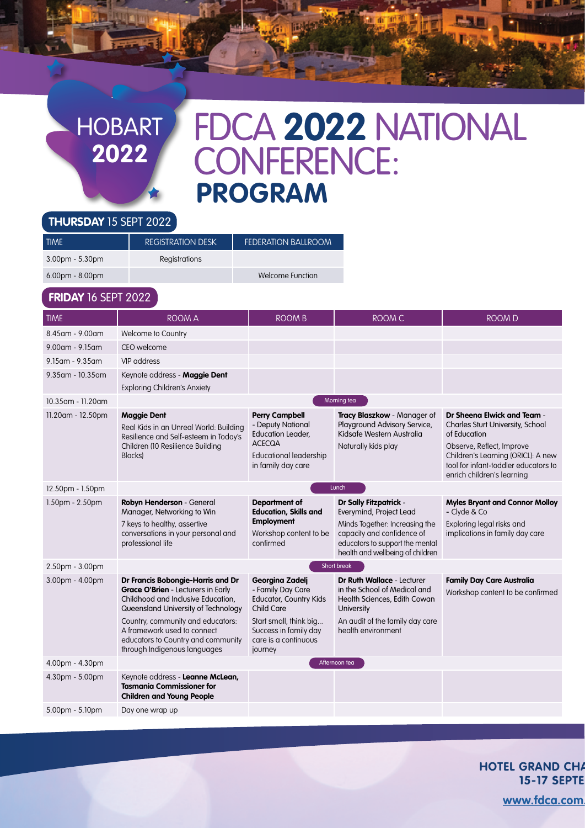## HOBART **2022**

اس کا پایالہ

# FDCA **2022** NATIONAL CONFERENCE: **PROGRAM**

鳥風園

#### **THURSDAY** 15 SEPT 2022

| TIME              | <b>REGISTRATION DESK</b> | <b>FEDERATION BALLROOM</b> |
|-------------------|--------------------------|----------------------------|
| $3.00pm - 5.30pm$ | Registrations            |                            |
| $6.00pm - 8.00pm$ |                          | Welcome Function           |
|                   |                          |                            |

### **FRIDAY** 16 SEPT 2022

| <b>TIME</b>           | <b>ROOM A</b>                                                                                                                                                                                                                                                                                         | <b>ROOM B</b>                                                                                                                                                                    | <b>ROOM C</b>                                                                                                                                                                                   | <b>ROOM D</b>                                                                                                                                                                                                            |
|-----------------------|-------------------------------------------------------------------------------------------------------------------------------------------------------------------------------------------------------------------------------------------------------------------------------------------------------|----------------------------------------------------------------------------------------------------------------------------------------------------------------------------------|-------------------------------------------------------------------------------------------------------------------------------------------------------------------------------------------------|--------------------------------------------------------------------------------------------------------------------------------------------------------------------------------------------------------------------------|
| 8.45am - 9.00am       | Welcome to Country                                                                                                                                                                                                                                                                                    |                                                                                                                                                                                  |                                                                                                                                                                                                 |                                                                                                                                                                                                                          |
| $9.00$ am - $9.15$ am | CEO welcome                                                                                                                                                                                                                                                                                           |                                                                                                                                                                                  |                                                                                                                                                                                                 |                                                                                                                                                                                                                          |
| 9.15 am - 9.35 am     | VIP address                                                                                                                                                                                                                                                                                           |                                                                                                                                                                                  |                                                                                                                                                                                                 |                                                                                                                                                                                                                          |
| $9.35$ am - 10.35 am  | Keynote address - Maggie Dent<br><b>Exploring Children's Anxiety</b>                                                                                                                                                                                                                                  |                                                                                                                                                                                  |                                                                                                                                                                                                 |                                                                                                                                                                                                                          |
| 10.35 am - 11.20 am   |                                                                                                                                                                                                                                                                                                       |                                                                                                                                                                                  | Morning tea                                                                                                                                                                                     |                                                                                                                                                                                                                          |
| 11.20am - 12.50pm     | <b>Maggie Dent</b><br>Real Kids in an Unreal World: Building<br>Resilience and Self-esteem in Today's<br>Children (10 Resilience Building<br><b>Blocks</b>                                                                                                                                            | <b>Perry Campbell</b><br>- Deputy National<br><b>Education Leader,</b><br><b>ACECQA</b><br><b>Educational leadership</b><br>in family day care                                   | Tracy Blaszkow - Manager of<br>Playground Advisory Service,<br>Kidsafe Western Australia<br>Naturally kids play                                                                                 | Dr Sheena Elwick and Team -<br>Charles Sturt University, School<br>of Education<br>Observe, Reflect, Improve<br>Children's Learning (ORICL): A new<br>tool for infant-toddler educators to<br>enrich children's learning |
| 12.50pm - 1.50pm      | Lunch                                                                                                                                                                                                                                                                                                 |                                                                                                                                                                                  |                                                                                                                                                                                                 |                                                                                                                                                                                                                          |
| $1.50pm - 2.50pm$     | Robyn Henderson - General<br>Manager, Networking to Win<br>7 keys to healthy, assertive<br>conversations in your personal and<br>professional life                                                                                                                                                    | <b>Department of</b><br><b>Education, Skills and</b><br><b>Employment</b><br>Workshop content to be<br>confirmed                                                                 | <b>Dr Sally Fitzpatrick -</b><br>Everymind, Project Lead<br>Minds Together: Increasing the<br>capacity and confidence of<br>educators to support the mental<br>health and wellbeing of children | <b>Myles Bryant and Connor Molloy</b><br>- Clyde & Co<br>Exploring legal risks and<br>implications in family day care                                                                                                    |
| 2.50pm - 3.00pm       | Short break                                                                                                                                                                                                                                                                                           |                                                                                                                                                                                  |                                                                                                                                                                                                 |                                                                                                                                                                                                                          |
| $3.00pm - 4.00pm$     | Dr Francis Bobongie-Harris and Dr<br><b>Grace O'Brien - Lecturers in Early</b><br>Childhood and Inclusive Education,<br>Queensland University of Technology<br>Country, community and educators:<br>A framework used to connect<br>educators to Country and community<br>through Indigenous languages | Georgina Zadelj<br>- Family Day Care<br><b>Educator, Country Kids</b><br><b>Child Care</b><br>Start small, think big<br>Success in family day<br>care is a continuous<br>journey | <b>Dr Ruth Wallace - Lecturer</b><br>in the School of Medical and<br>Health Sciences, Edith Cowan<br>University<br>An audit of the family day care<br>health environment                        | <b>Family Day Care Australia</b><br>Workshop content to be confirmed                                                                                                                                                     |
| 4.00pm - 4.30pm       |                                                                                                                                                                                                                                                                                                       |                                                                                                                                                                                  | Afternoon tea                                                                                                                                                                                   |                                                                                                                                                                                                                          |
| 4.30pm - 5.00pm       | Keynote address - Leanne McLean,<br><b>Tasmania Commissioner for</b><br><b>Children and Young People</b>                                                                                                                                                                                              |                                                                                                                                                                                  |                                                                                                                                                                                                 |                                                                                                                                                                                                                          |
| 5.00pm - 5.10pm       | Day one wrap up                                                                                                                                                                                                                                                                                       |                                                                                                                                                                                  |                                                                                                                                                                                                 |                                                                                                                                                                                                                          |

**HOTEL GRAND CHA 15-17 SEPTE** 

www.fdca.com